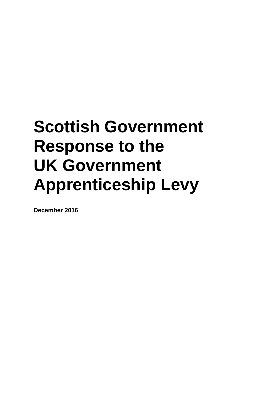# **Scottish Government Response to the UK Government Apprenticeship Levy**

**December 2016**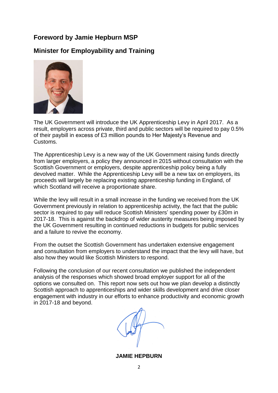#### **Foreword by Jamie Hepburn MSP**

## **Minister for Employability and Training**



The UK Government will introduce the UK Apprenticeship Levy in April 2017. As a result, employers across private, third and public sectors will be required to pay 0.5% of their paybill in excess of £3 million pounds to Her Majesty's Revenue and Customs.

The Apprenticeship Levy is a new way of the UK Government raising funds directly from larger employers, a policy they announced in 2015 without consultation with the Scottish Government or employers, despite apprenticeship policy being a fully devolved matter. While the Apprenticeship Levy will be a new tax on employers, its proceeds will largely be replacing existing apprenticeship funding in England, of which Scotland will receive a proportionate share.

While the levy will result in a small increase in the funding we received from the UK Government previously in relation to apprenticeship activity, the fact that the public sector is required to pay will reduce Scottish Ministers' spending power by £30m in 2017-18. This is against the backdrop of wider austerity measures being imposed by the UK Government resulting in continued reductions in budgets for public services and a failure to revive the economy.

From the outset the Scottish Government has undertaken extensive engagement and consultation from employers to understand the impact that the levy will have, but also how they would like Scottish Ministers to respond.

Following the conclusion of our recent consultation we published the independent analysis of the responses which showed broad employer support for all of the options we consulted on. This report now sets out how we plan develop a distinctly Scottish approach to apprenticeships and wider skills development and drive closer engagement with industry in our efforts to enhance productivity and economic growth in 2017-18 and beyond.

**JAMIE HEPBURN**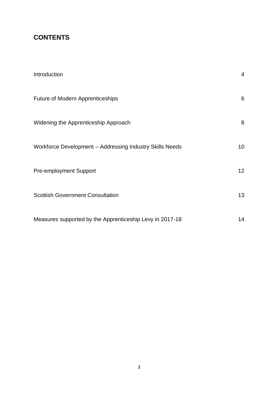## **CONTENTS**

| Introduction                                             | $\overline{4}$  |
|----------------------------------------------------------|-----------------|
| Future of Modern Apprenticeships                         | 6               |
| Widening the Apprenticeship Approach                     | 8               |
| Workforce Development - Addressing Industry Skills Needs | 10 <sup>°</sup> |
| <b>Pre-employment Support</b>                            | 12 <sup>2</sup> |
| <b>Scottish Government Consultation</b>                  | 13              |
| Measures supported by the Apprenticeship Levy in 2017-18 | 14              |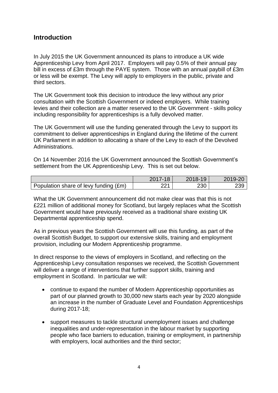## **Introduction**

In July 2015 the UK Government announced its plans to introduce a UK wide Apprenticeship Levy from April 2017. Employers will pay 0.5% of their annual pay bill in excess of £3m through the PAYE system. Those with an annual paybill of £3m or less will be exempt. The Levy will apply to employers in the public, private and third sectors.

The UK Government took this decision to introduce the levy without any prior consultation with the Scottish Government or indeed employers. While training levies and their collection are a matter reserved to the UK Government - skills policy including responsibility for apprenticeships is a fully devolved matter.

The UK Government will use the funding generated through the Levy to support its commitment to deliver apprenticeships in England during the lifetime of the current UK Parliament in addition to allocating a share of the Levy to each of the Devolved Administrations.

On 14 November 2016 the UK Government announced the Scottish Government's settlement from the UK Apprenticeship Levy. This is set out below.

|                                       | 2017-18 | 2018-19 | 2019-20 |
|---------------------------------------|---------|---------|---------|
| Population share of levy funding (£m) | ດດ 4    | 230     | 239     |

What the UK Government announcement did not make clear was that this is not £221 million of additional money for Scotland, but largely replaces what the Scottish Government would have previously received as a traditional share existing UK Departmental apprenticeship spend.

As in previous years the Scottish Government will use this funding, as part of the overall Scottish Budget, to support our extensive skills, training and employment provision, including our Modern Apprenticeship programme.

In direct response to the views of employers in Scotland, and reflecting on the Apprenticeship Levy consultation responses we received, the Scottish Government will deliver a range of interventions that further support skills, training and employment in Scotland. In particular we will:

- continue to expand the number of Modern Apprenticeship opportunities as part of our planned growth to 30,000 new starts each year by 2020 alongside an increase in the number of Graduate Level and Foundation Apprenticeships during 2017-18;
- support measures to tackle structural unemployment issues and challenge inequalities and under-representation in the labour market by supporting people who face barriers to education, training or employment, in partnership with employers, local authorities and the third sector;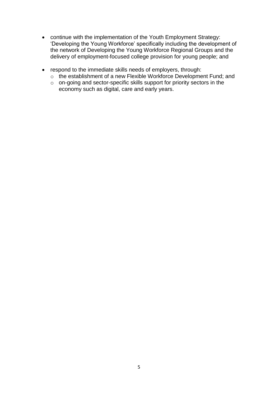- continue with the implementation of the Youth Employment Strategy: 'Developing the Young Workforce' specifically including the development of the network of Developing the Young Workforce Regional Groups and the delivery of employment-focused college provision for young people; and
- respond to the immediate skills needs of employers, through:
	- o the establishment of a new Flexible Workforce Development Fund; and
	- o on-going and sector-specific skills support for priority sectors in the economy such as digital, care and early years.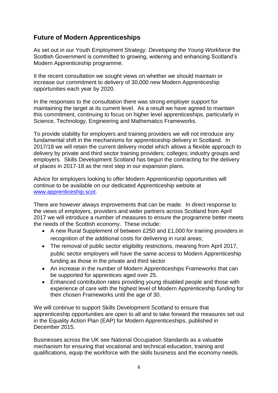## **Future of Modern Apprenticeships**

As set out in our Youth Employment Strategy: *Developing the Young Workforce* the Scottish Government is committed to growing, widening and enhancing Scotland's Modern Apprenticeship programme.

It the recent consultation we sought views on whether we should maintain or increase our commitment to delivery of 30,000 new Modern Apprenticeship opportunities each year by 2020.

In the responses to the consultation there was strong employer support for maintaining the target at its current level. As a result we have agreed to maintain this commitment, continuing to focus on higher level apprenticeships, particularly in Science, Technology, Engineering and Mathematics Frameworks.

To provide stability for employers and training providers we will not introduce any fundamental shift in the mechanisms for apprenticeship delivery in Scotland. In 2017/18 we will retain the current delivery model which allows a flexible approach to delivery by private and third sector training providers; colleges; industry groups and employers. Skills Development Scotland has begun the contracting for the delivery of places in 2017-18 as the next step in our expansion plans.

Advice for employers looking to offer Modern Apprenticeship opportunities will continue to be available on our dedicated Apprenticeship website at [www.apprenticeship.scot.](http://www.apprenticeship.scot/)

There are however always improvements that can be made. In direct response to the views of employers, providers and wider partners across Scotland from April 2017 we will introduce a number of measures to ensure the programme better meets the needs of the Scottish economy. These include:

- A new Rural Supplement of between £250 and £1,000 for training providers in recognition of the additional costs for delivering in rural areas;
- The removal of public sector eligibility restrictions, meaning from April 2017, public sector employers will have the same access to Modern Apprenticeship funding as those in the private and third sector
- An increase in the number of Modern Apprenticeships Frameworks that can be supported for apprentices aged over 25.
- Enhanced contribution rates providing young disabled people and those with experience of care with the highest level of Modern Apprenticeship funding for their chosen Frameworks until the age of 30.

We will continue to support Skills Development Scotland to ensure that apprenticeship opportunities are open to all and to take forward the measures set out in the Equality Action Plan (EAP) for Modern Apprenticeships, published in December 2015.

Businesses across the UK see National Occupation Standards as a valuable mechanism for ensuring that vocational and technical education, training and qualifications, equip the workforce with the skills business and the economy needs.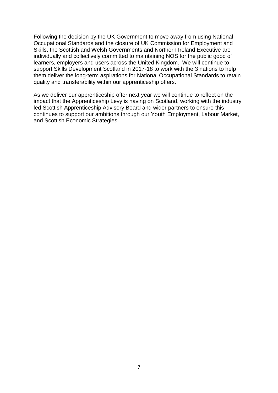Following the decision by the UK Government to move away from using National Occupational Standards and the closure of UK Commission for Employment and Skills, the Scottish and Welsh Governments and Northern Ireland Executive are individually and collectively committed to maintaining NOS for the public good of learners, employers and users across the United Kingdom. We will continue to support Skills Development Scotland in 2017-18 to work with the 3 nations to help them deliver the long-term aspirations for National Occupational Standards to retain quality and transferability within our apprenticeship offers.

As we deliver our apprenticeship offer next year we will continue to reflect on the impact that the Apprenticeship Levy is having on Scotland, working with the industry led Scottish Apprenticeship Advisory Board and wider partners to ensure this continues to support our ambitions through our Youth Employment, Labour Market, and Scottish Economic Strategies.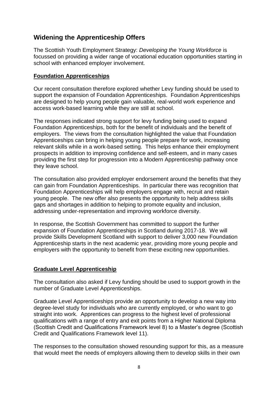## **Widening the Apprenticeship Offers**

The Scottish Youth Employment Strategy: *Developing the Young Workforce* is focussed on providing a wider range of vocational education opportunities starting in school with enhanced employer involvement.

#### **Foundation Apprenticeships**

Our recent consultation therefore explored whether Levy funding should be used to support the expansion of Foundation Apprenticeships. Foundation Apprenticeships are designed to help young people gain valuable, real-world work experience and access work-based learning while they are still at school.

The responses indicated strong support for levy funding being used to expand Foundation Apprenticeships, both for the benefit of individuals and the benefit of employers. The views from the consultation highlighted the value that Foundation Apprenticeships can bring in helping young people prepare for work, increasing relevant skills while in a work-based setting. This helps enhance their employment prospects in addition to improving confidence and self-esteem, and in many cases providing the first step for progression into a Modern Apprenticeship pathway once they leave school.

The consultation also provided employer endorsement around the benefits that they can gain from Foundation Apprenticeships. In particular there was recognition that Foundation Apprenticeships will help employers engage with, recruit and retain young people. The new offer also presents the opportunity to help address skills gaps and shortages in addition to helping to promote equality and inclusion, addressing under-representation and improving workforce diversity.

In response, the Scottish Government has committed to support the further expansion of Foundation Apprenticeships in Scotland during 2017-18. We will provide Skills Development Scotland with support to deliver 3,000 new Foundation Apprenticeship starts in the next academic year, providing more young people and employers with the opportunity to benefit from these exciting new opportunities.

#### **Graduate Level Apprenticeship**

The consultation also asked if Levy funding should be used to support growth in the number of Graduate Level Apprenticeships.

Graduate Level Apprenticeships provide an opportunity to develop a new way into degree-level study for individuals who are currently employed, or who want to go straight into work. Apprentices can progress to the highest level of professional qualifications with a range of entry and exit points from a Higher National Diploma (Scottish Credit and Qualifications Framework level 8) to a Master's degree (Scottish Credit and Qualifications Framework level 11).

The responses to the consultation showed resounding support for this, as a measure that would meet the needs of employers allowing them to develop skills in their own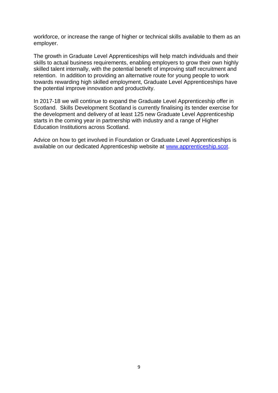workforce, or increase the range of higher or technical skills available to them as an employer.

The growth in Graduate Level Apprenticeships will help match individuals and their skills to actual business requirements, enabling employers to grow their own highly skilled talent internally, with the potential benefit of improving staff recruitment and retention. In addition to providing an alternative route for young people to work towards rewarding high skilled employment, Graduate Level Apprenticeships have the potential improve innovation and productivity.

In 2017-18 we will continue to expand the Graduate Level Apprenticeship offer in Scotland. Skills Development Scotland is currently finalising its tender exercise for the development and delivery of at least 125 new Graduate Level Apprenticeship starts in the coming year in partnership with industry and a range of Higher Education Institutions across Scotland.

Advice on how to get involved in Foundation or Graduate Level Apprenticeships is available on our dedicated Apprenticeship website at [www.apprenticeship.scot.](http://www.apprenticeship.scot/)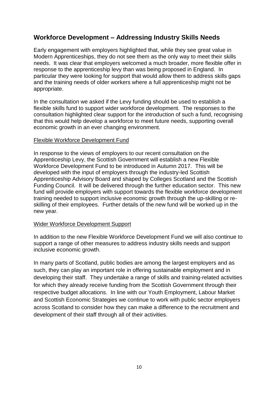## **Workforce Development – Addressing Industry Skills Needs**

Early engagement with employers highlighted that, while they see great value in Modern Apprenticeships, they do not see them as the only way to meet their skills needs. It was clear that employers welcomed a much broader, more flexible offer in response to the apprenticeship levy than was being proposed in England. In particular they were looking for support that would allow them to address skills gaps and the training needs of older workers where a full apprenticeship might not be appropriate.

In the consultation we asked if the Levy funding should be used to establish a flexible skills fund to support wider workforce development. The responses to the consultation highlighted clear support for the introduction of such a fund, recognising that this would help develop a workforce to meet future needs, supporting overall economic growth in an ever changing environment.

#### Flexible Workforce Development Fund

In response to the views of employers to our recent consultation on the Apprenticeship Levy, the Scottish Government will establish a new Flexible Workforce Development Fund to be introduced in Autumn 2017. This will be developed with the input of employers through the industry-led Scottish Apprenticeship Advisory Board and shaped by Colleges Scotland and the Scottish Funding Council. It will be delivered through the further education sector. This new fund will provide employers with support towards the flexible workforce development training needed to support inclusive economic growth through the up-skilling or reskilling of their employees. Further details of the new fund will be worked up in the new year.

#### Wider Workforce Development Support

In addition to the new Flexible Workforce Development Fund we will also continue to support a range of other measures to address industry skills needs and support inclusive economic growth.

In many parts of Scotland, public bodies are among the largest employers and as such, they can play an important role in offering sustainable employment and in developing their staff. They undertake a range of skills and training-related activities for which they already receive funding from the Scottish Government through their respective budget allocations. In line with our Youth Employment, Labour Market and Scottish Economic Strategies we continue to work with public sector employers across Scotland to consider how they can make a difference to the recruitment and development of their staff through all of their activities.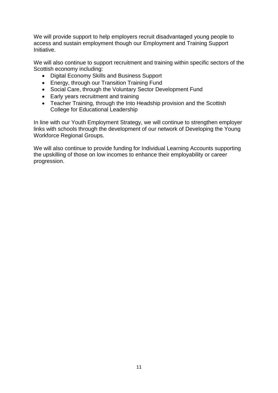We will provide support to help employers recruit disadvantaged young people to access and sustain employment though our Employment and Training Support Initiative.

We will also continue to support recruitment and training within specific sectors of the Scottish economy including:

- Digital Economy Skills and Business Support
- Energy, through our Transition Training Fund
- Social Care, through the Voluntary Sector Development Fund
- Early years recruitment and training
- Teacher Training, through the Into Headship provision and the Scottish College for Educational Leadership

In line with our Youth Employment Strategy, we will continue to strengthen employer links with schools through the development of our network of Developing the Young Workforce Regional Groups.

We will also continue to provide funding for Individual Learning Accounts supporting the upskilling of those on low incomes to enhance their employability or career progression.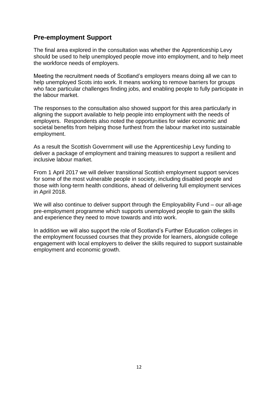## **Pre-employment Support**

The final area explored in the consultation was whether the Apprenticeship Levy should be used to help unemployed people move into employment, and to help meet the workforce needs of employers.

Meeting the recruitment needs of Scotland's employers means doing all we can to help unemployed Scots into work. It means working to remove barriers for groups who face particular challenges finding jobs, and enabling people to fully participate in the labour market.

The responses to the consultation also showed support for this area particularly in aligning the support available to help people into employment with the needs of employers. Respondents also noted the opportunities for wider economic and societal benefits from helping those furthest from the labour market into sustainable employment.

As a result the Scottish Government will use the Apprenticeship Levy funding to deliver a package of employment and training measures to support a resilient and inclusive labour market.

From 1 April 2017 we will deliver transitional Scottish employment support services for some of the most vulnerable people in society, including disabled people and those with long-term health conditions, ahead of delivering full employment services in April 2018.

We will also continue to deliver support through the Employability Fund – our all-age pre-employment programme which supports unemployed people to gain the skills and experience they need to move towards and into work.

In addition we will also support the role of Scotland's Further Education colleges in the employment focussed courses that they provide for learners, alongside college engagement with local employers to deliver the skills required to support sustainable employment and economic growth.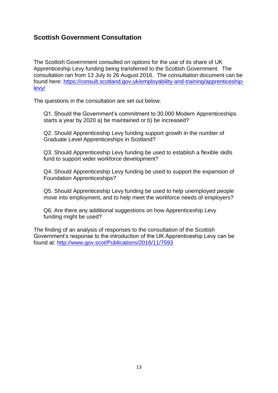## **Scottish Government Consultation**

The Scottish Government consulted on options for the use of its share of UK Apprenticeship Levy funding being transferred to the Scottish Government. The consultation ran from 13 July to 26 August 2016. The consultation document can be found here: [https://consult.scotland.gov.uk/employability-and-training/apprenticeship](https://consult.scotland.gov.uk/employability-and-training/apprenticeship-levy/)[levy/](https://consult.scotland.gov.uk/employability-and-training/apprenticeship-levy/)

The questions in the consultation are set out below.

Q1. Should the Government's commitment to 30,000 Modern Apprenticeships starts a year by 2020 a) be maintained or b) be increased?

Q2. Should Apprenticeship Levy funding support growth in the number of Graduate Level Apprenticeships in Scotland?

Q3. Should Apprenticeship Levy funding be used to establish a flexible skills fund to support wider workforce development?

Q4. Should Apprenticeship Levy funding be used to support the expansion of Foundation Apprenticeships?

Q5. Should Apprenticeship Levy funding be used to help unemployed people move into employment, and to help meet the workforce needs of employers?

Q6. Are there any additional suggestions on how Apprenticeship Levy funding might be used?

The finding of an analysis of responses to the consultation of the Scottish Government's response to the introduction of the UK Apprenticeship Levy can be found at:<http://www.gov.scot/Publications/2016/11/7593>